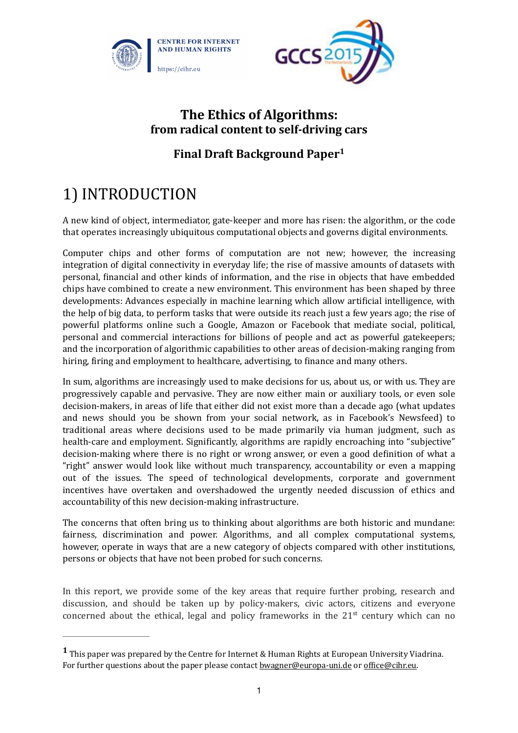



### **The Ethics of Algorithms: from radical content to self-driving cars**

### **Final Draft Background Paper<sup>1</sup>**

# 1) INTRODUCTION

A new kind of object, intermediator, gate-keeper and more has risen: the algorithm, or the code that operates increasingly ubiquitous computational objects and governs digital environments.

Computer chips and other forms of computation are not new; however, the increasing integration of digital connectivity in everyday life; the rise of massive amounts of datasets with personal, financial and other kinds of information, and the rise in objects that have embedded chips have combined to create a new environment. This environment has been shaped by three developments: Advances especially in machine learning which allow artificial intelligence, with the help of big data, to perform tasks that were outside its reach just a few years ago; the rise of powerful platforms online such a Google, Amazon or Facebook that mediate social, political, personal and commercial interactions for billions of people and act as powerful gatekeepers; and the incorporation of algorithmic capabilities to other areas of decision-making ranging from hiring, firing and employment to healthcare, advertising, to finance and many others.

In sum, algorithms are increasingly used to make decisions for us, about us, or with us. They are progressively capable and pervasive. They are now either main or auxiliary tools, or even sole decision-makers, in areas of life that either did not exist more than a decade ago (what updates and news should you be shown from your social network, as in Facebook's Newsfeed) to traditional areas where decisions used to be made primarily via human judgment, such as health-care and employment. Significantly, algorithms are rapidly encroaching into "subjective" decision-making where there is no right or wrong answer, or even a good definition of what a "right" answer would look like without much transparency, accountability or even a mapping out of the issues. The speed of technological developments, corporate and government incentives have overtaken and overshadowed the urgently needed discussion of ethics and accountability of this new decision-making infrastructure.

The concerns that often bring us to thinking about algorithms are both historic and mundane: fairness, discrimination and power. Algorithms, and all complex computational systems, however, operate in ways that are a new category of objects compared with other institutions, persons or objects that have not been probed for such concerns.

In this report, we provide some of the key areas that require further probing, research and discussion, and should be taken up by policy-makers, civic actors, citizens and everyone concerned about the ethical, legal and policy frameworks in the  $21<sup>st</sup>$  century which can no

**<sup>1</sup>** This paper was prepared by the Centre for Internet & Human Rights at European University Viadrina. For further questions about the paper please contact **bwagner@europa-uni.de** or office@cihr.eu.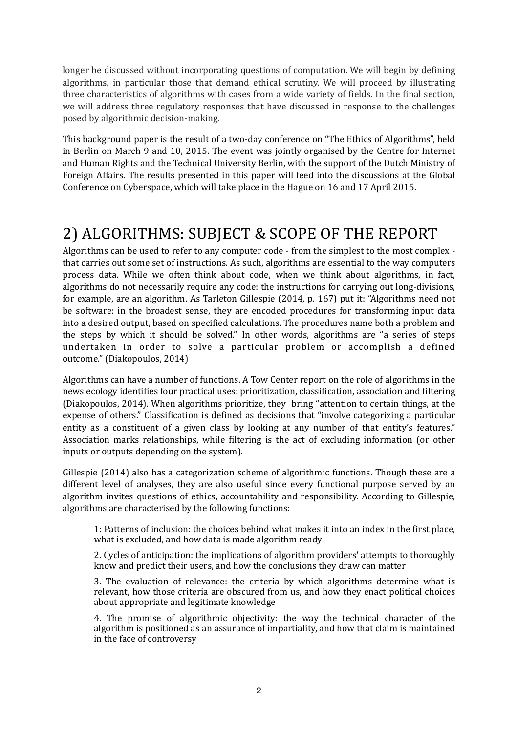longer be discussed without incorporating questions of computation. We will begin by defining algorithms, in particular those that demand ethical scrutiny. We will proceed by illustrating three characteristics of algorithms with cases from a wide variety of fields. In the final section, we will address three regulatory responses that have discussed in response to the challenges posed by algorithmic decision-making.

This background paper is the result of a two-day conference on "The Ethics of Algorithms", held in Berlin on March 9 and 10, 2015. The event was jointly organised by the Centre for Internet and Human Rights and the Technical University Berlin, with the support of the Dutch Ministry of Foreign Affairs. The results presented in this paper will feed into the discussions at the Global Conference on Cyberspace, which will take place in the Hague on 16 and 17 April 2015.

## 2) ALGORITHMS: SUBJECT & SCOPE OF THE REPORT

Algorithms can be used to refer to any computer code - from the simplest to the most complex that carries out some set of instructions. As such, algorithms are essential to the way computers process data. While we often think about code, when we think about algorithms, in fact, algorithms do not necessarily require any code: the instructions for carrying out long-divisions, for example, are an algorithm. As Tarleton Gillespie (2014, p. 167) put it: "Algorithms need not be software: in the broadest sense, they are encoded procedures for transforming input data into a desired output, based on specified calculations. The procedures name both a problem and the steps by which it should be solved." In other words, algorithms are "a series of steps undertaken in order to solve a particular problem or accomplish a defined outcome." (Diakopoulos, 2014)

Algorithms can have a number of functions. A Tow Center report on the role of algorithms in the news ecology identifies four practical uses: prioritization, classification, association and filtering (Diakopoulos, 2014). When algorithms prioritize, they bring "attention to certain things, at the expense of others." Classification is defined as decisions that "involve categorizing a particular entity as a constituent of a given class by looking at any number of that entity's features." Association marks relationships, while filtering is the act of excluding information (or other inputs or outputs depending on the system).

Gillespie (2014) also has a categorization scheme of algorithmic functions. Though these are a different level of analyses, they are also useful since every functional purpose served by an algorithm invites questions of ethics, accountability and responsibility. According to Gillespie, algorithms are characterised by the following functions:

1: Patterns of inclusion: the choices behind what makes it into an index in the first place, what is excluded, and how data is made algorithm ready

2. Cycles of anticipation: the implications of algorithm providers' attempts to thoroughly know and predict their users, and how the conclusions they draw can matter

3. The evaluation of relevance: the criteria by which algorithms determine what is relevant, how those criteria are obscured from us, and how they enact political choices about appropriate and legitimate knowledge

4. The promise of algorithmic objectivity: the way the technical character of the algorithm is positioned as an assurance of impartiality, and how that claim is maintained in the face of controversy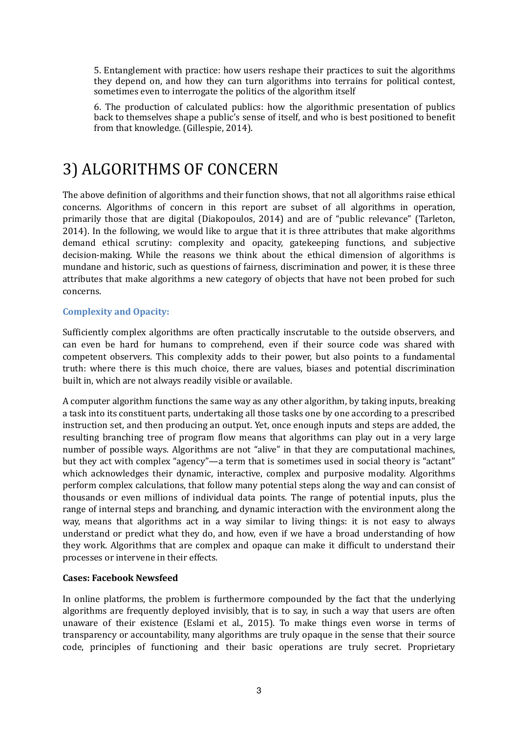5. Entanglement with practice: how users reshape their practices to suit the algorithms they depend on, and how they can turn algorithms into terrains for political contest, sometimes even to interrogate the politics of the algorithm itself

6. The production of calculated publics: how the algorithmic presentation of publics back to themselves shape a public's sense of itself, and who is best positioned to benefit from that knowledge. (Gillespie, 2014).

## 3) ALGORITHMS OF CONCERN

The above definition of algorithms and their function shows, that not all algorithms raise ethical concerns. Algorithms of concern in this report are subset of all algorithms in operation, primarily those that are digital (Diakopoulos, 2014) and are of "public relevance" (Tarleton, 2014). In the following, we would like to argue that it is three attributes that make algorithms demand ethical scrutiny: complexity and opacity, gatekeeping functions, and subjective decision-making. While the reasons we think about the ethical dimension of algorithms is mundane and historic, such as questions of fairness, discrimination and power, it is these three attributes that make algorithms a new category of objects that have not been probed for such concerns.

#### **Complexity and Opacity:**

Sufficiently complex algorithms are often practically inscrutable to the outside observers, and can even be hard for humans to comprehend, even if their source code was shared with competent observers. This complexity adds to their power, but also points to a fundamental truth: where there is this much choice, there are values, biases and potential discrimination built in, which are not always readily visible or available.

A computer algorithm functions the same way as any other algorithm, by taking inputs, breaking a task into its constituent parts, undertaking all those tasks one by one according to a prescribed instruction set, and then producing an output. Yet, once enough inputs and steps are added, the resulting branching tree of program flow means that algorithms can play out in a very large number of possible ways. Algorithms are not "alive" in that they are computational machines, but they act with complex "agency"—a term that is sometimes used in social theory is "actant" which acknowledges their dynamic, interactive, complex and purposive modality. Algorithms perform complex calculations, that follow many potential steps along the way and can consist of thousands or even millions of individual data points. The range of potential inputs, plus the range of internal steps and branching, and dynamic interaction with the environment along the way, means that algorithms act in a way similar to living things: it is not easy to always understand or predict what they do, and how, even if we have a broad understanding of how they work. Algorithms that are complex and opaque can make it difficult to understand their processes or intervene in their effects.

#### **Cases: Facebook Newsfeed**

In online platforms, the problem is furthermore compounded by the fact that the underlying algorithms are frequently deployed invisibly, that is to say, in such a way that users are often unaware of their existence (Eslami et al., 2015). To make things even worse in terms of transparency or accountability, many algorithms are truly opaque in the sense that their source code, principles of functioning and their basic operations are truly secret. Proprietary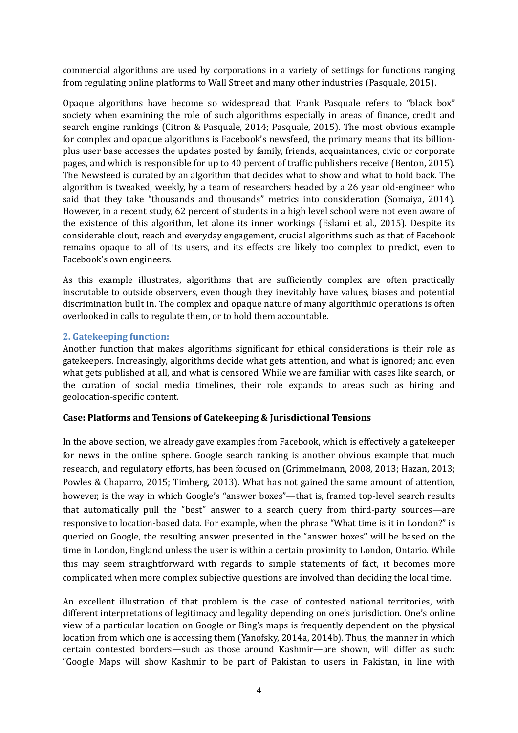commercial algorithms are used by corporations in a variety of settings for functions ranging from regulating online platforms to Wall Street and many other industries (Pasquale, 2015).

Opaque algorithms have become so widespread that Frank Pasquale refers to "black box" society when examining the role of such algorithms especially in areas of finance, credit and search engine rankings (Citron & Pasquale, 2014; Pasquale, 2015). The most obvious example for complex and opaque algorithms is Facebook's newsfeed, the primary means that its billionplus user base accesses the updates posted by family, friends, acquaintances, civic or corporate pages, and which is responsible for up to 40 percent of traffic publishers receive (Benton, 2015). The Newsfeed is curated by an algorithm that decides what to show and what to hold back. The algorithm is tweaked, weekly, by a team of researchers headed by a 26 year old-engineer who said that they take "thousands and thousands" metrics into consideration (Somaiya, 2014). However, in a recent study, 62 percent of students in a high level school were not even aware of the existence of this algorithm, let alone its inner workings (Eslami et al., 2015). Despite its considerable clout, reach and everyday engagement, crucial algorithms such as that of Facebook remains opaque to all of its users, and its effects are likely too complex to predict, even to Facebook's own engineers.

As this example illustrates, algorithms that are sufficiently complex are often practically inscrutable to outside observers, even though they inevitably have values, biases and potential discrimination built in. The complex and opaque nature of many algorithmic operations is often overlooked in calls to regulate them, or to hold them accountable.

#### **2.** Gatekeeping function:

Another function that makes algorithms significant for ethical considerations is their role as gatekeepers. Increasingly, algorithms decide what gets attention, and what is ignored; and even what gets published at all, and what is censored. While we are familiar with cases like search, or the curation of social media timelines, their role expands to areas such as hiring and geolocation-specific content.

#### **Case: Platforms and Tensions of Gatekeeping & Jurisdictional Tensions**

In the above section, we already gave examples from Facebook, which is effectively a gatekeeper for news in the online sphere. Google search ranking is another obvious example that much research, and regulatory efforts, has been focused on (Grimmelmann, 2008, 2013; Hazan, 2013; Powles & Chaparro, 2015; Timberg, 2013). What has not gained the same amount of attention, however, is the way in which Google's "answer boxes"—that is, framed top-level search results that automatically pull the "best" answer to a search query from third-party sources—are responsive to location-based data. For example, when the phrase "What time is it in London?" is queried on Google, the resulting answer presented in the "answer boxes" will be based on the time in London, England unless the user is within a certain proximity to London, Ontario. While this may seem straightforward with regards to simple statements of fact, it becomes more complicated when more complex subjective questions are involved than deciding the local time.

An excellent illustration of that problem is the case of contested national territories, with different interpretations of legitimacy and legality depending on one's jurisdiction. One's online view of a particular location on Google or Bing's maps is frequently dependent on the physical location from which one is accessing them (Yanofsky, 2014a, 2014b). Thus, the manner in which certain contested borders—such as those around Kashmir—are shown, will differ as such: "Google Maps will show Kashmir to be part of Pakistan to users in Pakistan, in line with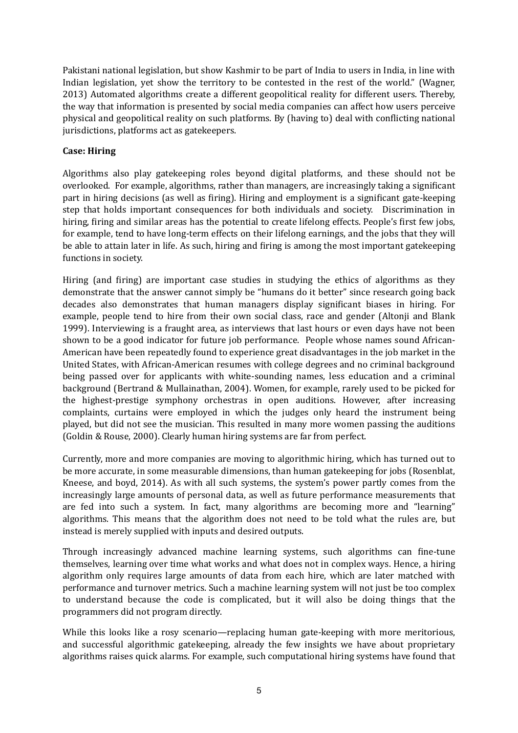Pakistani national legislation, but show Kashmir to be part of India to users in India, in line with Indian legislation, yet show the territory to be contested in the rest of the world." (Wagner, 2013) Automated algorithms create a different geopolitical reality for different users. Thereby, the way that information is presented by social media companies can affect how users perceive physical and geopolitical reality on such platforms. By (having to) deal with conflicting national jurisdictions, platforms act as gatekeepers.

#### **Case: Hiring**

Algorithms also play gatekeeping roles beyond digital platforms, and these should not be overlooked. For example, algorithms, rather than managers, are increasingly taking a significant part in hiring decisions (as well as firing). Hiring and employment is a significant gate-keeping step that holds important consequences for both individuals and society. Discrimination in hiring, firing and similar areas has the potential to create lifelong effects. People's first few jobs, for example, tend to have long-term effects on their lifelong earnings, and the jobs that they will be able to attain later in life. As such, hiring and firing is among the most important gatekeeping functions in society.

Hiring (and firing) are important case studies in studying the ethics of algorithms as they demonstrate that the answer cannot simply be "humans do it better" since research going back decades also demonstrates that human managers display significant biases in hiring. For example, people tend to hire from their own social class, race and gender (Altonji and Blank 1999). Interviewing is a fraught area, as interviews that last hours or even days have not been shown to be a good indicator for future job performance. People whose names sound African-American have been repeatedly found to experience great disadvantages in the job market in the United States, with African-American resumes with college degrees and no criminal background being passed over for applicants with white-sounding names, less education and a criminal background (Bertrand & Mullainathan, 2004). Women, for example, rarely used to be picked for the highest-prestige symphony orchestras in open auditions. However, after increasing complaints, curtains were employed in which the judges only heard the instrument being played, but did not see the musician. This resulted in many more women passing the auditions (Goldin & Rouse, 2000). Clearly human hiring systems are far from perfect.

Currently, more and more companies are moving to algorithmic hiring, which has turned out to be more accurate, in some measurable dimensions, than human gatekeeping for jobs (Rosenblat, Kneese, and boyd,  $2014$ ). As with all such systems, the system's power partly comes from the increasingly large amounts of personal data, as well as future performance measurements that are fed into such a system. In fact, many algorithms are becoming more and "learning" algorithms. This means that the algorithm does not need to be told what the rules are, but instead is merely supplied with inputs and desired outputs.

Through increasingly advanced machine learning systems, such algorithms can fine-tune themselves, learning over time what works and what does not in complex ways. Hence, a hiring algorithm only requires large amounts of data from each hire, which are later matched with performance and turnover metrics. Such a machine learning system will not just be too complex to understand because the code is complicated, but it will also be doing things that the programmers did not program directly.

While this looks like a rosy scenario—replacing human gate-keeping with more meritorious, and successful algorithmic gatekeeping, already the few insights we have about proprietary algorithms raises quick alarms. For example, such computational hiring systems have found that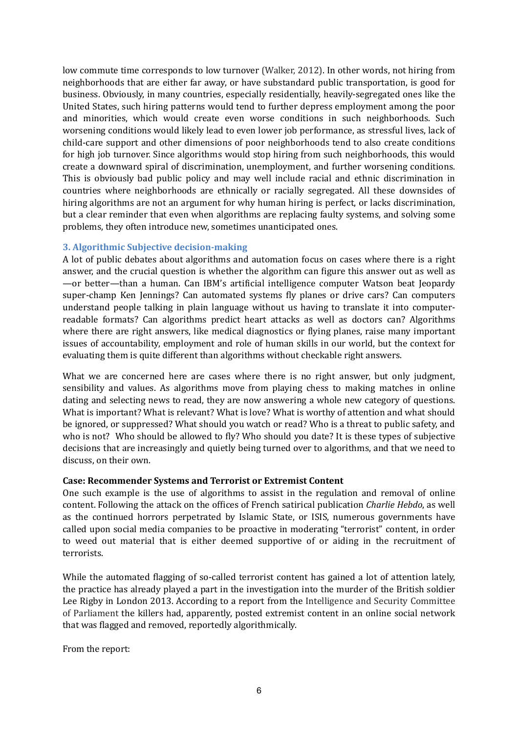low commute time corresponds to low turnover (Walker, 2012). In other words, not hiring from neighborhoods that are either far away, or have substandard public transportation, is good for business. Obviously, in many countries, especially residentially, heavily-segregated ones like the United States, such hiring patterns would tend to further depress employment among the poor and minorities, which would create even worse conditions in such neighborhoods. Such worsening conditions would likely lead to even lower job performance, as stressful lives, lack of child-care support and other dimensions of poor neighborhoods tend to also create conditions for high job turnover. Since algorithms would stop hiring from such neighborhoods, this would create a downward spiral of discrimination, unemployment, and further worsening conditions. This is obviously bad public policy and may well include racial and ethnic discrimination in countries where neighborhoods are ethnically or racially segregated. All these downsides of hiring algorithms are not an argument for why human hiring is perfect, or lacks discrimination, but a clear reminder that even when algorithms are replacing faulty systems, and solving some problems, they often introduce new, sometimes unanticipated ones.

#### **3. Algorithmic Subjective decision-making**

A lot of public debates about algorithms and automation focus on cases where there is a right answer, and the crucial question is whether the algorithm can figure this answer out as well as —or better—than a human. Can IBM's artificial intelligence computer Watson beat Jeopardy super-champ Ken Jennings? Can automated systems fly planes or drive cars? Can computers understand people talking in plain language without us having to translate it into computerreadable formats? Can algorithms predict heart attacks as well as doctors can? Algorithms where there are right answers, like medical diagnostics or flying planes, raise many important issues of accountability, employment and role of human skills in our world, but the context for evaluating them is quite different than algorithms without checkable right answers.

What we are concerned here are cases where there is no right answer, but only judgment, sensibility and values. As algorithms move from playing chess to making matches in online dating and selecting news to read, they are now answering a whole new category of questions. What is important? What is relevant? What is love? What is worthy of attention and what should be ignored, or suppressed? What should you watch or read? Who is a threat to public safety, and who is not? Who should be allowed to fly? Who should you date? It is these types of subjective decisions that are increasingly and quietly being turned over to algorithms, and that we need to discuss, on their own.

#### **Case: Recommender Systems and Terrorist or Extremist Content**

One such example is the use of algorithms to assist in the regulation and removal of online content. Following the attack on the offices of French satirical publication *Charlie Hebdo*, as well as the continued horrors perpetrated by Islamic State, or ISIS, numerous governments have called upon social media companies to be proactive in moderating "terrorist" content, in order to weed out material that is either deemed supportive of or aiding in the recruitment of terrorists.

While the automated flagging of so-called terrorist content has gained a lot of attention lately, the practice has already played a part in the investigation into the murder of the British soldier Lee Rigby in London 2013. According to a report from the Intelligence and Security Committee of Parliament the killers had, apparently, posted extremist content in an online social network that was flagged and removed, reportedly algorithmically.

From the report: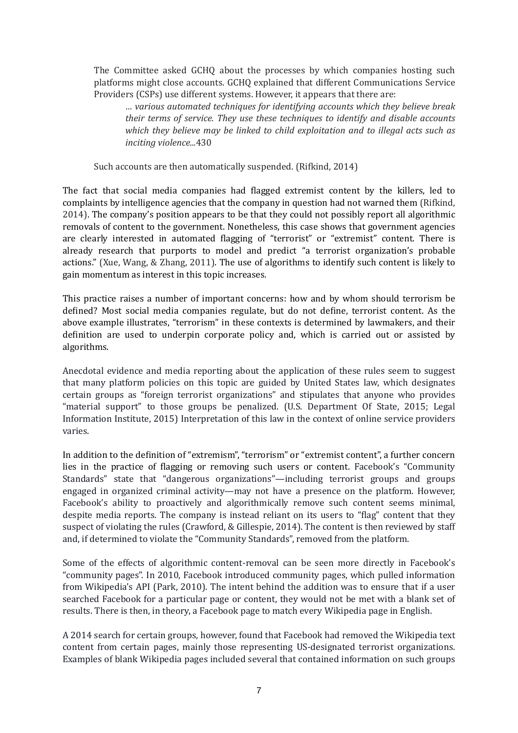The Committee asked GCHQ about the processes by which companies hosting such platforms might close accounts. GCHQ explained that different Communications Service Providers (CSPs) use different systems. However, it appears that there are:

*… various automated techniques for identifying accounts which they believe break their terms of service. They use these techniques to identify and disable accounts which they believe may be linked to child exploitation and to illegal acts such as inciting violence...*430 

Such accounts are then automatically suspended. (Rifkind, 2014)

The fact that social media companies had flagged extremist content by the killers, led to complaints by intelligence agencies that the company in question had not warned them (Rifkind, 2014). The company's position appears to be that they could not possibly report all algorithmic removals of content to the government. Nonetheless, this case shows that government agencies are clearly interested in automated flagging of "terrorist" or "extremist" content. There is already research that purports to model and predict "a terrorist organization's probable actions." (Xue, Wang, & Zhang, 2011). The use of algorithms to identify such content is likely to gain momentum as interest in this topic increases.

This practice raises a number of important concerns: how and by whom should terrorism be defined? Most social media companies regulate, but do not define, terrorist content. As the above example illustrates, "terrorism" in these contexts is determined by lawmakers, and their definition are used to underpin corporate policy and, which is carried out or assisted by algorithms.

Anecdotal evidence and media reporting about the application of these rules seem to suggest that many platform policies on this topic are guided by United States law, which designates certain groups as "foreign terrorist organizations" and stipulates that anyone who provides "material support" to those groups be penalized. (U.S. Department Of State, 2015; Legal Information Institute, 2015) Interpretation of this law in the context of online service providers varies. 

In addition to the definition of "extremism", "terrorism" or "extremist content", a further concern lies in the practice of flagging or removing such users or content. Facebook's "Community Standards" state that "dangerous organizations"—including terrorist groups and groups engaged in organized criminal activity—may not have a presence on the platform. However, Facebook's ability to proactively and algorithmically remove such content seems minimal, despite media reports. The company is instead reliant on its users to "flag" content that they suspect of violating the rules (Crawford, & Gillespie, 2014). The content is then reviewed by staff and, if determined to violate the "Community Standards", removed from the platform.

Some of the effects of algorithmic content-removal can be seen more directly in Facebook's "community pages". In 2010, Facebook introduced community pages, which pulled information from Wikipedia's API (Park, 2010). The intent behind the addition was to ensure that if a user searched Facebook for a particular page or content, they would not be met with a blank set of results. There is then, in theory, a Facebook page to match every Wikipedia page in English.

A 2014 search for certain groups, however, found that Facebook had removed the Wikipedia text content from certain pages, mainly those representing US-designated terrorist organizations. Examples of blank Wikipedia pages included several that contained information on such groups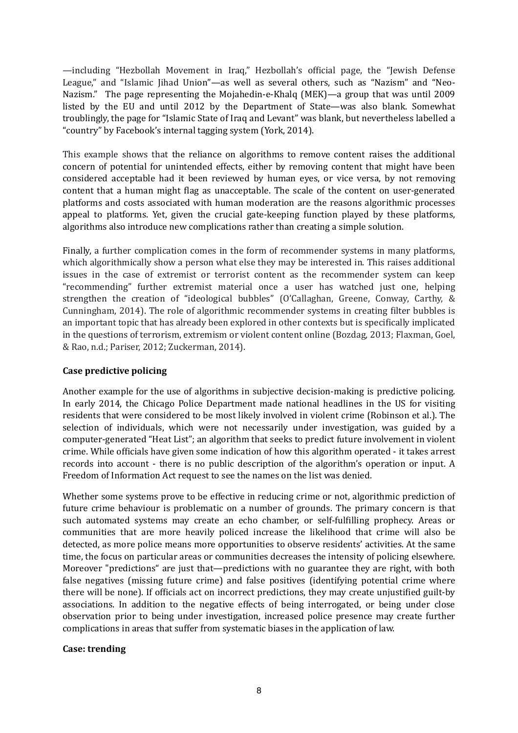—including "Hezbollah Movement in Iraq," Hezbollah's official page, the "Jewish Defense League," and "Islamic Jihad Union"—as well as several others, such as "Nazism" and "Neo-Nazism." The page representing the Mojahedin-e-Khalq (MEK)—a group that was until 2009 listed by the EU and until 2012 by the Department of State—was also blank. Somewhat troublingly, the page for "Islamic State of Iraq and Levant" was blank, but nevertheless labelled a "country" by Facebook's internal tagging system (York, 2014).

This example shows that the reliance on algorithms to remove content raises the additional concern of potential for unintended effects, either by removing content that might have been considered acceptable had it been reviewed by human eyes, or vice versa, by not removing content that a human might flag as unacceptable. The scale of the content on user-generated platforms and costs associated with human moderation are the reasons algorithmic processes appeal to platforms. Yet, given the crucial gate-keeping function played by these platforms, algorithms also introduce new complications rather than creating a simple solution.

Finally, a further complication comes in the form of recommender systems in many platforms, which algorithmically show a person what else they may be interested in. This raises additional issues in the case of extremist or terrorist content as the recommender system can keep "recommending" further extremist material once a user has watched just one, helping strengthen the creation of "ideological bubbles" (O'Callaghan, Greene, Conway, Carthy, & Cunningham, 2014). The role of algorithmic recommender systems in creating filter bubbles is an important topic that has already been explored in other contexts but is specifically implicated in the questions of terrorism, extremism or violent content online (Bozdag, 2013; Flaxman, Goel, & Rao, n.d.; Pariser, 2012; Zuckerman, 2014).

#### **Case predictive policing**

Another example for the use of algorithms in subjective decision-making is predictive policing. In early 2014, the Chicago Police Department made national headlines in the US for visiting residents that were considered to be most likely involved in violent crime (Robinson et al.). The selection of individuals, which were not necessarily under investigation, was guided by a computer-generated "Heat List"; an algorithm that seeks to predict future involvement in violent crime. While officials have given some indication of how this algorithm operated - it takes arrest records into account - there is no public description of the algorithm's operation or input. A Freedom of Information Act request to see the names on the list was denied.

Whether some systems prove to be effective in reducing crime or not, algorithmic prediction of future crime behaviour is problematic on a number of grounds. The primary concern is that such automated systems may create an echo chamber, or self-fulfilling prophecy. Areas or communities that are more heavily policed increase the likelihood that crime will also be detected, as more police means more opportunities to observe residents' activities. At the same time, the focus on particular areas or communities decreases the intensity of policing elsewhere. Moreover "predictions" are just that—predictions with no guarantee they are right, with both false negatives (missing future crime) and false positives (identifying potential crime where there will be none). If officials act on incorrect predictions, they may create unjustified guilt-by associations. In addition to the negative effects of being interrogated, or being under close observation prior to being under investigation, increased police presence may create further complications in areas that suffer from systematic biases in the application of law.

#### **Case: trending**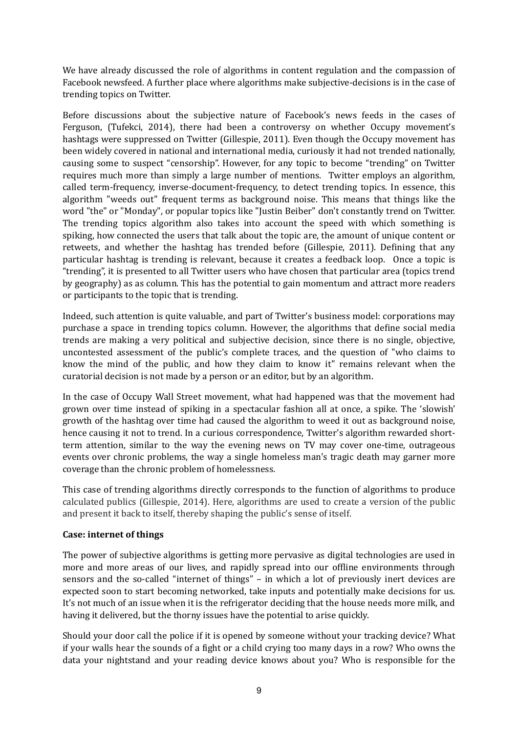We have already discussed the role of algorithms in content regulation and the compassion of Facebook newsfeed. A further place where algorithms make subjective-decisions is in the case of trending topics on Twitter.

Before discussions about the subjective nature of Facebook's news feeds in the cases of Ferguson, (Tufekci, 2014), there had been a controversy on whether Occupy movement's hashtags were suppressed on Twitter (Gillespie, 2011). Even though the Occupy movement has been widely covered in national and international media, curiously it had not trended nationally, causing some to suspect "censorship". However, for any topic to become "trending" on Twitter requires much more than simply a large number of mentions. Twitter employs an algorithm, called term-frequency, inverse-document-frequency, to detect trending topics. In essence, this algorithm "weeds out" frequent terms as background noise. This means that things like the word "the" or "Monday", or popular topics like "Justin Beiber" don't constantly trend on Twitter. The trending topics algorithm also takes into account the speed with which something is spiking, how connected the users that talk about the topic are, the amount of unique content or retweets, and whether the hashtag has trended before (Gillespie, 2011). Defining that any particular hashtag is trending is relevant, because it creates a feedback loop. Once a topic is "trending", it is presented to all Twitter users who have chosen that particular area (topics trend by geography) as as column. This has the potential to gain momentum and attract more readers or participants to the topic that is trending.

Indeed, such attention is quite valuable, and part of Twitter's business model: corporations may purchase a space in trending topics column. However, the algorithms that define social media trends are making a very political and subjective decision, since there is no single, objective, uncontested assessment of the public's complete traces, and the question of "who claims to know the mind of the public, and how they claim to know it" remains relevant when the curatorial decision is not made by a person or an editor, but by an algorithm.

In the case of Occupy Wall Street movement, what had happened was that the movement had grown over time instead of spiking in a spectacular fashion all at once, a spike. The 'slowish' growth of the hashtag over time had caused the algorithm to weed it out as background noise, hence causing it not to trend. In a curious correspondence, Twitter's algorithm rewarded shortterm attention, similar to the way the evening news on TV may cover one-time, outrageous events over chronic problems, the way a single homeless man's tragic death may garner more coverage than the chronic problem of homelessness.

This case of trending algorithms directly corresponds to the function of algorithms to produce calculated publics (Gillespie, 2014). Here, algorithms are used to create a version of the public and present it back to itself, thereby shaping the public's sense of itself.

#### **Case: internet of things**

The power of subjective algorithms is getting more pervasive as digital technologies are used in more and more areas of our lives, and rapidly spread into our offline environments through sensors and the so-called "internet of things"  $-$  in which a lot of previously inert devices are expected soon to start becoming networked, take inputs and potentially make decisions for us. It's not much of an issue when it is the refrigerator deciding that the house needs more milk, and having it delivered, but the thorny issues have the potential to arise quickly.

Should your door call the police if it is opened by someone without your tracking device? What if your walls hear the sounds of a fight or a child crying too many days in a row? Who owns the data your nightstand and your reading device knows about you? Who is responsible for the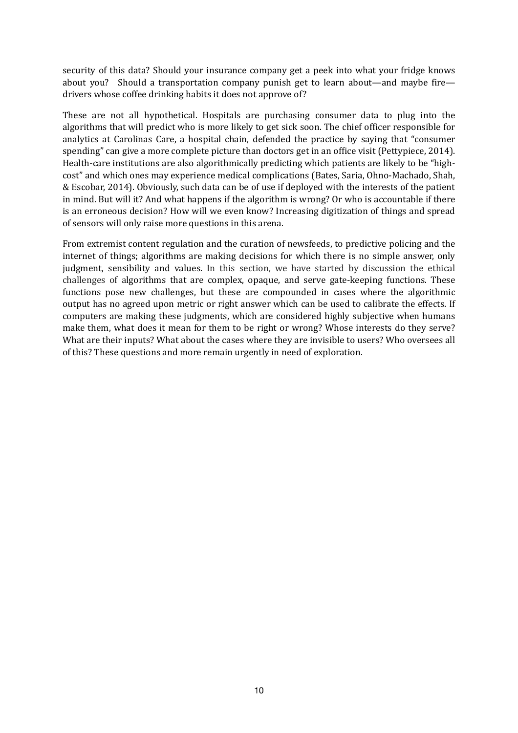security of this data? Should your insurance company get a peek into what your fridge knows about you? Should a transportation company punish get to learn about—and maybe fire drivers whose coffee drinking habits it does not approve of?

These are not all hypothetical. Hospitals are purchasing consumer data to plug into the algorithms that will predict who is more likely to get sick soon. The chief officer responsible for analytics at Carolinas Care, a hospital chain, defended the practice by saying that "consumer" spending" can give a more complete picture than doctors get in an office visit (Pettypiece, 2014). Health-care institutions are also algorithmically predicting which patients are likely to be "highcost" and which ones may experience medical complications (Bates, Saria, Ohno-Machado, Shah, & Escobar, 2014). Obviously, such data can be of use if deployed with the interests of the patient in mind. But will it? And what happens if the algorithm is wrong? Or who is accountable if there is an erroneous decision? How will we even know? Increasing digitization of things and spread of sensors will only raise more questions in this arena.

From extremist content regulation and the curation of newsfeeds, to predictive policing and the internet of things; algorithms are making decisions for which there is no simple answer, only judgment, sensibility and values. In this section, we have started by discussion the ethical challenges of algorithms that are complex, opaque, and serve gate-keeping functions. These functions pose new challenges, but these are compounded in cases where the algorithmic output has no agreed upon metric or right answer which can be used to calibrate the effects. If computers are making these judgments, which are considered highly subjective when humans make them, what does it mean for them to be right or wrong? Whose interests do they serve? What are their inputs? What about the cases where they are invisible to users? Who oversees all of this? These questions and more remain urgently in need of exploration.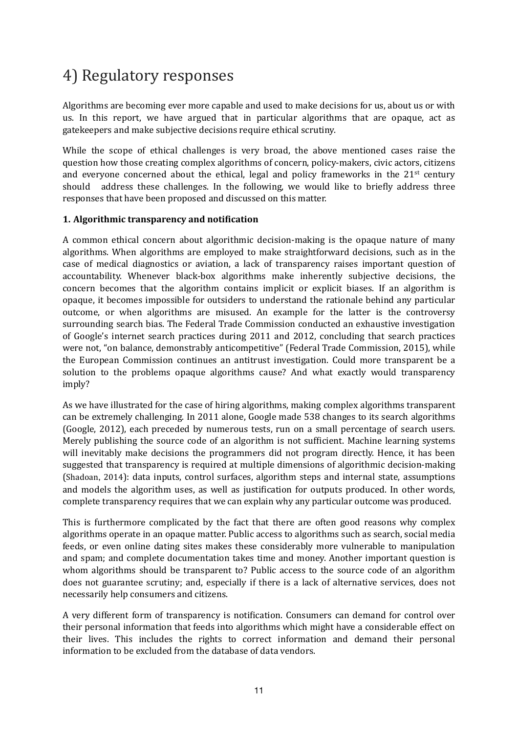# 4) Regulatory responses

Algorithms are becoming ever more capable and used to make decisions for us, about us or with us. In this report, we have argued that in particular algorithms that are opaque, act as gatekeepers and make subjective decisions require ethical scrutiny.

While the scope of ethical challenges is very broad, the above mentioned cases raise the question how those creating complex algorithms of concern, policy-makers, civic actors, citizens and everyone concerned about the ethical, legal and policy frameworks in the  $21<sup>st</sup>$  century should address these challenges. In the following, we would like to briefly address three responses that have been proposed and discussed on this matter.

#### **1.** Algorithmic transparency and notification

A common ethical concern about algorithmic decision-making is the opaque nature of many algorithms. When algorithms are employed to make straightforward decisions, such as in the case of medical diagnostics or aviation, a lack of transparency raises important question of accountability. Whenever black-box algorithms make inherently subjective decisions, the concern becomes that the algorithm contains implicit or explicit biases. If an algorithm is opaque, it becomes impossible for outsiders to understand the rationale behind any particular outcome, or when algorithms are misused. An example for the latter is the controversy surrounding search bias. The Federal Trade Commission conducted an exhaustive investigation of Google's internet search practices during 2011 and 2012, concluding that search practices were not, "on balance, demonstrably anticompetitive" (Federal Trade Commission, 2015), while the European Commission continues an antitrust investigation. Could more transparent be a solution to the problems opaque algorithms cause? And what exactly would transparency imply?

As we have illustrated for the case of hiring algorithms, making complex algorithms transparent can be extremely challenging. In 2011 alone, Google made 538 changes to its search algorithms (Google, 2012), each preceded by numerous tests, run on a small percentage of search users. Merely publishing the source code of an algorithm is not sufficient. Machine learning systems will inevitably make decisions the programmers did not program directly. Hence, it has been suggested that transparency is required at multiple dimensions of algorithmic decision-making (Shadoan, 2014): data inputs, control surfaces, algorithm steps and internal state, assumptions and models the algorithm uses, as well as justification for outputs produced. In other words, complete transparency requires that we can explain why any particular outcome was produced.

This is furthermore complicated by the fact that there are often good reasons why complex algorithms operate in an opaque matter. Public access to algorithms such as search, social media feeds, or even online dating sites makes these considerably more vulnerable to manipulation and spam; and complete documentation takes time and money. Another important question is whom algorithms should be transparent to? Public access to the source code of an algorithm does not guarantee scrutiny; and, especially if there is a lack of alternative services, does not necessarily help consumers and citizens.

A very different form of transparency is notification. Consumers can demand for control over their personal information that feeds into algorithms which might have a considerable effect on their lives. This includes the rights to correct information and demand their personal information to be excluded from the database of data vendors.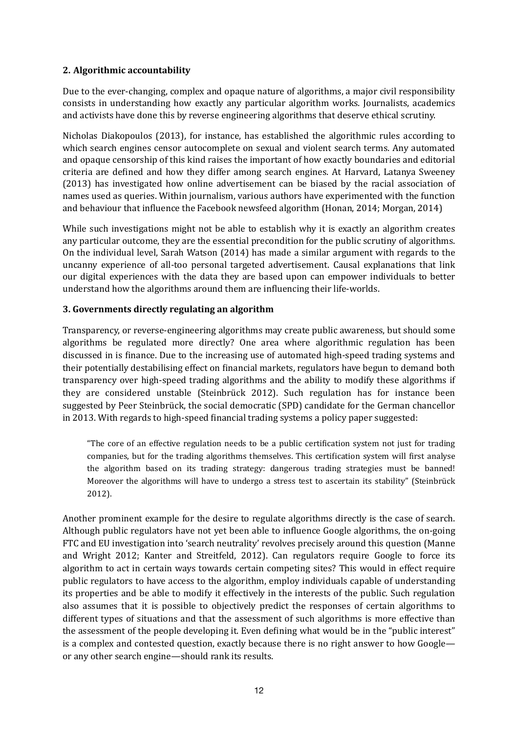#### **2. Algorithmic accountability**

Due to the ever-changing, complex and opaque nature of algorithms, a major civil responsibility consists in understanding how exactly any particular algorithm works. Journalists, academics and activists have done this by reverse engineering algorithms that deserve ethical scrutiny.

Nicholas Diakopoulos (2013), for instance, has established the algorithmic rules according to which search engines censor autocomplete on sexual and violent search terms. Any automated and opaque censorship of this kind raises the important of how exactly boundaries and editorial criteria are defined and how they differ among search engines. At Harvard, Latanya Sweeney (2013) has investigated how online advertisement can be biased by the racial association of names used as queries. Within journalism, various authors have experimented with the function and behaviour that influence the Facebook newsfeed algorithm (Honan, 2014; Morgan, 2014)

While such investigations might not be able to establish why it is exactly an algorithm creates any particular outcome, they are the essential precondition for the public scrutiny of algorithms. On the individual level, Sarah Watson  $(2014)$  has made a similar argument with regards to the uncanny experience of all-too personal targeted advertisement. Causal explanations that link our digital experiences with the data they are based upon can empower individuals to better understand how the algorithms around them are influencing their life-worlds.

#### **3. Governments directly regulating an algorithm**

Transparency, or reverse-engineering algorithms may create public awareness, but should some algorithms be regulated more directly? One area where algorithmic regulation has been discussed in is finance. Due to the increasing use of automated high-speed trading systems and their potentially destabilising effect on financial markets, regulators have begun to demand both transparency over high-speed trading algorithms and the ability to modify these algorithms if they are considered unstable (Steinbrück 2012). Such regulation has for instance been suggested by Peer Steinbrück, the social democratic (SPD) candidate for the German chancellor in 2013. With regards to high-speed financial trading systems a policy paper suggested:

"The core of an effective regulation needs to be a public certification system not just for trading companies, but for the trading algorithms themselves. This certification system will first analyse the algorithm based on its trading strategy: dangerous trading strategies must be banned! Moreover the algorithms will have to undergo a stress test to ascertain its stability" (Steinbrück 2012).

Another prominent example for the desire to regulate algorithms directly is the case of search. Although public regulators have not yet been able to influence Google algorithms, the on-going FTC and EU investigation into 'search neutrality' revolves precisely around this question (Manne and Wright 2012; Kanter and Streitfeld, 2012). Can regulators require Google to force its algorithm to act in certain ways towards certain competing sites? This would in effect require public regulators to have access to the algorithm, employ individuals capable of understanding its properties and be able to modify it effectively in the interests of the public. Such regulation also assumes that it is possible to objectively predict the responses of certain algorithms to different types of situations and that the assessment of such algorithms is more effective than the assessment of the people developing it. Even defining what would be in the "public interest" is a complex and contested question, exactly because there is no right answer to how Google or any other search engine—should rank its results.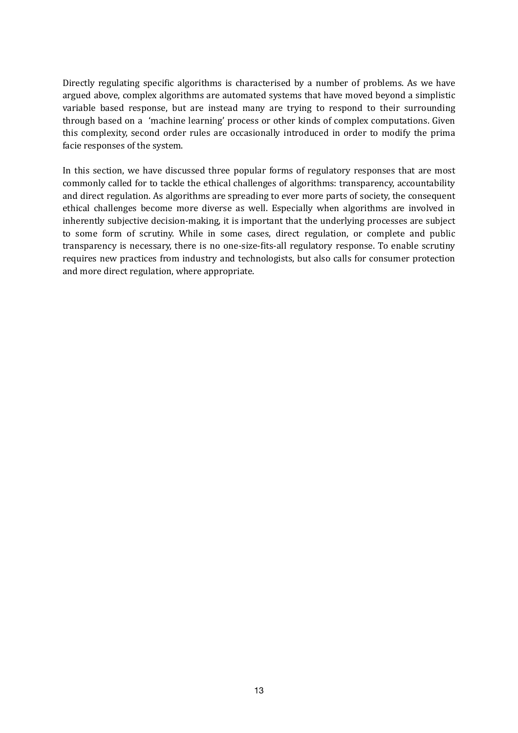Directly regulating specific algorithms is characterised by a number of problems. As we have argued above, complex algorithms are automated systems that have moved beyond a simplistic variable based response, but are instead many are trying to respond to their surrounding through based on a 'machine learning' process or other kinds of complex computations. Given this complexity, second order rules are occasionally introduced in order to modify the prima facie responses of the system.

In this section, we have discussed three popular forms of regulatory responses that are most commonly called for to tackle the ethical challenges of algorithms: transparency, accountability and direct regulation. As algorithms are spreading to ever more parts of society, the consequent ethical challenges become more diverse as well. Especially when algorithms are involved in inherently subjective decision-making, it is important that the underlying processes are subject to some form of scrutiny. While in some cases, direct regulation, or complete and public transparency is necessary, there is no one-size-fits-all regulatory response. To enable scrutiny requires new practices from industry and technologists, but also calls for consumer protection and more direct regulation, where appropriate.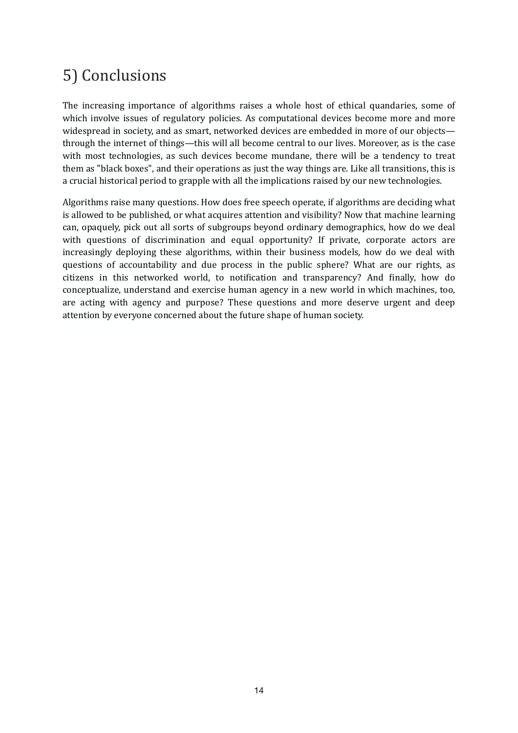# 5) Conclusions

The increasing importance of algorithms raises a whole host of ethical quandaries, some of which involve issues of regulatory policies. As computational devices become more and more widespread in society, and as smart, networked devices are embedded in more of our objects through the internet of things—this will all become central to our lives. Moreover, as is the case with most technologies, as such devices become mundane, there will be a tendency to treat them as "black boxes", and their operations as just the way things are. Like all transitions, this is a crucial historical period to grapple with all the implications raised by our new technologies.

Algorithms raise many questions. How does free speech operate, if algorithms are deciding what is allowed to be published, or what acquires attention and visibility? Now that machine learning can, opaquely, pick out all sorts of subgroups beyond ordinary demographics, how do we deal with questions of discrimination and equal opportunity? If private, corporate actors are increasingly deploying these algorithms, within their business models, how do we deal with questions of accountability and due process in the public sphere? What are our rights, as citizens in this networked world, to notification and transparency? And finally, how do conceptualize, understand and exercise human agency in a new world in which machines, too, are acting with agency and purpose? These questions and more deserve urgent and deep attention by everyone concerned about the future shape of human society.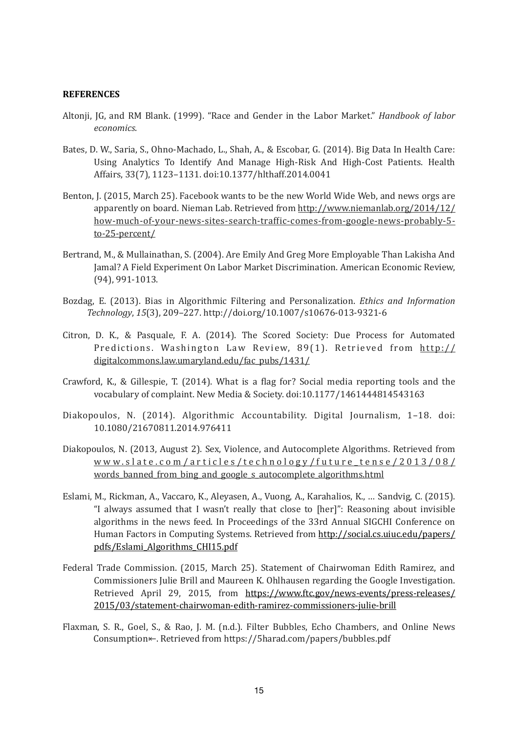#### **REFERENCES**

- Altonji, JG, and RM Blank. (1999). "Race and Gender in the Labor Market." *Handbook of labor economics*.
- Bates, D. W., Saria, S., Ohno-Machado, L., Shah, A., & Escobar, G. (2014). Big Data In Health Care: Using Analytics To Identify And Manage High-Risk And High-Cost Patients. Health Affairs, 33(7), 1123-1131. doi:10.1377/hlthaff.2014.0041
- Benton, J. (2015, March 25). Facebook wants to be the new World Wide Web, and news orgs are apparently on board. Nieman Lab. Retrieved from http://www.niemanlab.org/2014/12/ how-much-of-your-news-sites-search-traffic-comes-from-google-news-probably-5to-25-percent/
- Bertrand, M., & Mullainathan, S. (2004). Are Emily And Greg More Employable Than Lakisha And Jamal? A Field Experiment On Labor Market Discrimination. American Economic Review, (94), 991-1013.
- Bozdag, E. (2013). Bias in Algorithmic Filtering and Personalization. *Ethics and Information Technology*, *15*(3), 209–227. http://doi.org/10.1007/s10676-013-9321-6
- Citron, D. K., & Pasquale, F. A. (2014). The Scored Society: Due Process for Automated Predictions. Washington Law Review,  $89(1)$ . Retrieved from http:// digitalcommons.law.umaryland.edu/fac\_pubs/1431/
- Crawford, K., & Gillespie, T. (2014). What is a flag for? Social media reporting tools and the vocabulary of complaint. New Media & Society. doi:10.1177/1461444814543163
- Diakopoulos, N. (2014). Algorithmic Accountability. Digital Journalism, 1-18. doi: 10.1080/21670811.2014.976411
- Diakopoulos, N. (2013, August 2). Sex, Violence, and Autocomplete Algorithms. Retrieved from www.slate.com/articles/technology/future\_tense/2013/08/ words\_banned\_from\_bing\_and\_google\_s\_autocomplete\_algorithms.html
- Eslami, M., Rickman, A., Vaccaro, K., Aleyasen, A., Vuong, A., Karahalios, K., ... Sandvig, C. (2015). "I always assumed that I wasn't really that close to [her]": Reasoning about invisible algorithms in the news feed. In Proceedings of the 33rd Annual SIGCHI Conference on Human Factors in Computing Systems. Retrieved from http://social.cs.uiuc.edu/papers/ pdfs/Eslami\_Algorithms\_CHI15.pdf
- Federal Trade Commission. (2015, March 25). Statement of Chairwoman Edith Ramirez, and Commissioners Julie Brill and Maureen K. Ohlhausen regarding the Google Investigation. Retrieved April 29, 2015, from https://www.ftc.gov/news-events/press-releases/ 2015/03/statement-chairwoman-edith-ramirez-commissioners-julie-brill
- Flaxman, S. R., Goel, S., & Rao, J. M. (n.d.). Filter Bubbles, Echo Chambers, and Online News Consumption←. Retrieved from https://5harad.com/papers/bubbles.pdf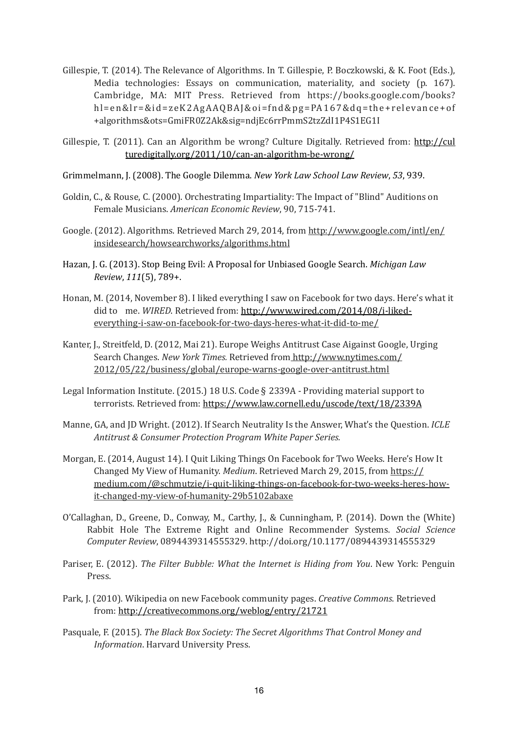- Gillespie, T. (2014). The Relevance of Algorithms. In T. Gillespie, P. Boczkowski, & K. Foot (Eds.), Media technologies: Essays on communication, materiality, and society (p. 167). Cambridge, MA: MIT Press. Retrieved from https://books.google.com/books? hl=en&lr=&id=zeK2AgAAQBAJ&oi=fnd&pg=PA167&dq=the+relevance+of +algorithms&ots=GmiFR0Z2Ak&sig=ndjEc6rrPmmS2tzZdI1P4S1EG1I
- Gillespie, T. (2011). Can an Algorithm be wrong? Culture Digitally. Retrieved from: http://cul turedigitally.org/2011/10/can-an-algorithm-be-wrong/
- Grimmelmann, J. (2008). The Google Dilemma. *New York Law School Law Review*, 53, 939.
- Goldin, C., & Rouse, C. (2000). Orchestrating Impartiality: The Impact of "Blind" Auditions on Female Musicians. *American Economic Review*, 90, 715-741.
- Google. (2012). Algorithms. Retrieved March 29, 2014, from http://www.google.com/intl/en/ insidesearch/howsearchworks/algorithms.html
- Hazan, J. G. (2013). Stop Being Evil: A Proposal for Unbiased Google Search. *Michigan Law Review*, *111*(5), 789+.
- Honan, M. (2014, November 8). I liked everything I saw on Facebook for two days. Here's what it did to me. WIRED. Retrieved from: http://www.wired.com/2014/08/i-likedeverything-i-saw-on-facebook-for-two-days-heres-what-it-did-to-me/
- Kanter, J., Streitfeld, D. (2012, Mai 21). Europe Weighs Antitrust Case Aigainst Google, Urging Search Changes. *New York Times.* Retrieved from http://www.nytimes.com/ 2012/05/22/business/global/europe-warns-google-over-antitrust.html
- Legal Information Institute.  $(2015.18 \text{ U.S. Code } § 2339A Providing material support to$ terrorists. Retrieved from: https://www.law.cornell.edu/uscode/text/18/2339A
- Manne, GA, and JD Wright. (2012). If Search Neutrality Is the Answer, What's the Question. *ICLE Antitrust & Consumer Protection Program White Paper Series.*
- Morgan, E. (2014, August 14). I Quit Liking Things On Facebook for Two Weeks. Here's How It Changed My View of Humanity. *Medium*. Retrieved March 29, 2015, from https:// medium.com/@schmutzie/i-quit-liking-things-on-facebook-for-two-weeks-heres-howit-changed-my-view-of-humanity-29b5102abaxe
- O'Callaghan, D., Greene, D., Conway, M., Carthy, J., & Cunningham, P. (2014). Down the (White) Rabbit Hole The Extreme Right and Online Recommender Systems. *Social Science Computer Review*, 0894439314555329. http://doi.org/10.1177/0894439314555329
- Pariser, E. (2012). *The Filter Bubble: What the Internet is Hiding from You*. New York: Penguin Press.
- Park, J. (2010). Wikipedia on new Facebook community pages. *Creative Commons*. Retrieved from: http://creativecommons.org/weblog/entry/21721
- Pasquale, F. (2015). *The Black Box Society: The Secret Algorithms That Control Money and Information.* Harvard University Press.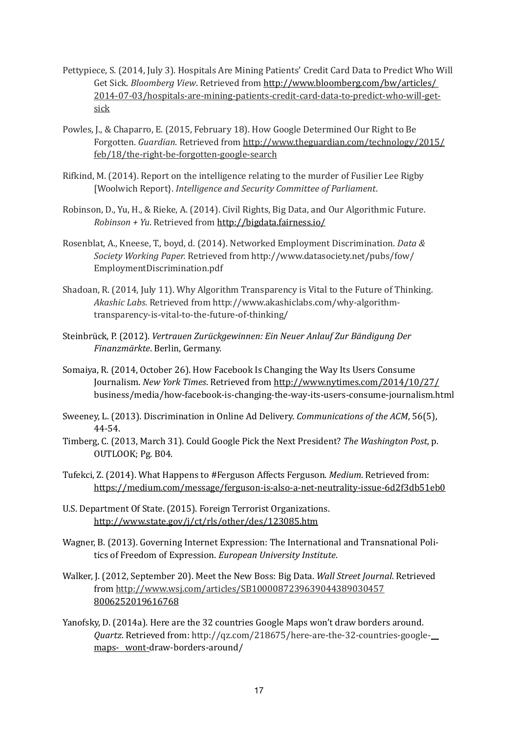- Pettypiece, S. (2014, July 3). Hospitals Are Mining Patients' Credit Card Data to Predict Who Will Get Sick. *Bloomberg View*. Retrieved from http://www.bloomberg.com/bw/articles/ 2014-07-03/hospitals-are-mining-patients-credit-card-data-to-predict-who-will-getsick
- Powles, I., & Chaparro, E. (2015, February 18). How Google Determined Our Right to Be Forgotten. *Guardian*. Retrieved from http://www.theguardian.com/technology/2015/ feb/18/the-right-be-forgotten-google-search
- Rifkind, M. (2014). Report on the intelligence relating to the murder of Fusilier Lee Rigby [Woolwich Report]. *Intelligence and Security Committee of Parliament.*
- Robinson, D., Yu, H., & Rieke, A. (2014). Civil Rights, Big Data, and Our Algorithmic Future. *Robinson + Yu*. Retrieved from http://bigdata.fairness.io/
- Rosenblat, A., Kneese, T., boyd, d. (2014). Networked Employment Discrimination. *Data & Society Working Paper.* Retrieved from http://www.datasociety.net/pubs/fow/ EmploymentDiscrimination.pdf
- Shadoan, R. (2014, July 11). Why Algorithm Transparency is Vital to the Future of Thinking. *Akashic Labs*. Retrieved from http://www.akashiclabs.com/why-algorithm- transparency-is-vital-to-the-future-of-thinking/
- Steinbrück, P. (2012). Vertrauen Zurückgewinnen: Ein Neuer Anlauf Zur Bändigung Der  *Finanzmärkte*. Berlin, Germany.
- Somaiya, R. (2014, October 26). How Facebook Is Changing the Way Its Users Consume Journalism. New York Times. Retrieved from http://www.nytimes.com/2014/10/27/ business/media/how-facebook-is-changing-the-way-its-users-consume-journalism.html
- Sweeney, L. (2013). Discrimination in Online Ad Delivery. *Communications of the ACM*, 56(5), 44-54.
- Timberg, C. (2013, March 31). Could Google Pick the Next President? The Washington Post, p. OUTLOOK; Pg. B04.
- Tufekci, Z. (2014). What Happens to #Ferguson Affects Ferguson. *Medium*. Retrieved from: https://medium.com/message/ferguson-is-also-a-net-neutrality-issue-6d2f3db51eb0
- U.S. Department Of State. (2015). Foreign Terrorist Organizations. http://www.state.gov/j/ct/rls/other/des/123085.htm
- Wagner, B. (2013). Governing Internet Expression: The International and Transnational Politics of Freedom of Expression. *European University Institute*.
- Walker, J. (2012, September 20). Meet the New Boss: Big Data. *Wall Street Journal.* Retrieved from http://www.wsj.com/articles/SB1000087239639044389030457 8006252019616768
- Yanofsky, D. (2014a). Here are the 32 countries Google Maps won't draw borders around. *Quartz*. Retrieved from: http://qz.com/218675/here-are-the-32-countries-googlemaps- wont-draw-borders-around/